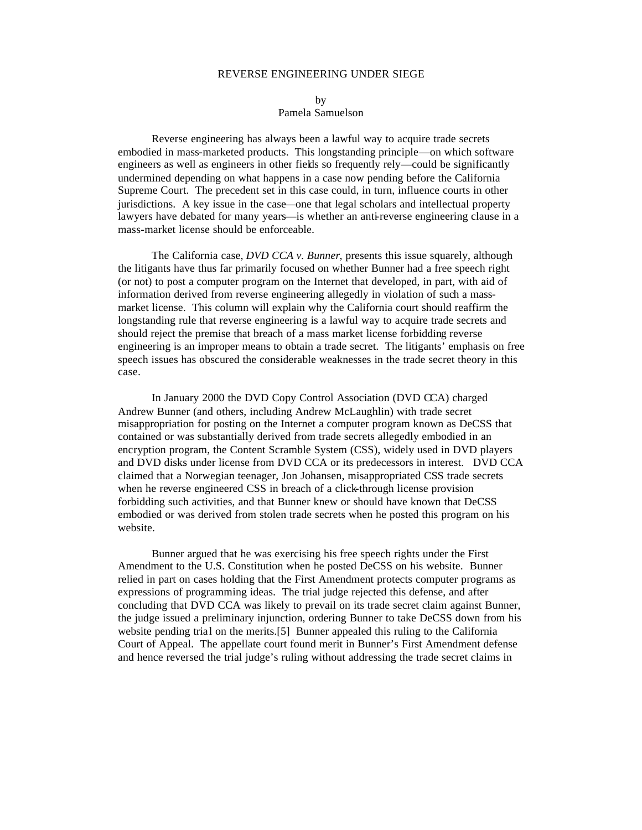## REVERSE ENGINEERING UNDER SIEGE

by Pamela Samuelson

Reverse engineering has always been a lawful way to acquire trade secrets embodied in mass-marketed products. This longstanding principle—on which software engineers as well as engineers in other fields so frequently rely—could be significantly undermined depending on what happens in a case now pending before the California Supreme Court. The precedent set in this case could, in turn, influence courts in other jurisdictions. A key issue in the case—one that legal scholars and intellectual property lawyers have debated for many years—is whether an anti-reverse engineering clause in a mass-market license should be enforceable.

The California case, *DVD CCA v. Bunner*, presents this issue squarely, although the litigants have thus far primarily focused on whether Bunner had a free speech right (or not) to post a computer program on the Internet that developed, in part, with aid of information derived from reverse engineering allegedly in violation of such a massmarket license. This column will explain why the California court should reaffirm the longstanding rule that reverse engineering is a lawful way to acquire trade secrets and should reject the premise that breach of a mass market license forbidding reverse engineering is an improper means to obtain a trade secret. The litigants' emphasis on free speech issues has obscured the considerable weaknesses in the trade secret theory in this case.

In January 2000 the DVD Copy Control Association (DVD CCA) charged Andrew Bunner (and others, including Andrew McLaughlin) with trade secret misappropriation for posting on the Internet a computer program known as DeCSS that contained or was substantially derived from trade secrets allegedly embodied in an encryption program, the Content Scramble System (CSS), widely used in DVD players and DVD disks under license from DVD CCA or its predecessors in interest. DVD CCA claimed that a Norwegian teenager, Jon Johansen, misappropriated CSS trade secrets when he reverse engineered CSS in breach of a click-through license provision forbidding such activities, and that Bunner knew or should have known that DeCSS embodied or was derived from stolen trade secrets when he posted this program on his website.

Bunner argued that he was exercising his free speech rights under the First Amendment to the U.S. Constitution when he posted DeCSS on his website. Bunner relied in part on cases holding that the First Amendment protects computer programs as expressions of programming ideas. The trial judge rejected this defense, and after concluding that DVD CCA was likely to prevail on its trade secret claim against Bunner, the judge issued a preliminary injunction, ordering Bunner to take DeCSS down from his website pending trial on the merits.[5] Bunner appealed this ruling to the California Court of Appeal. The appellate court found merit in Bunner's First Amendment defense and hence reversed the trial judge's ruling without addressing the trade secret claims in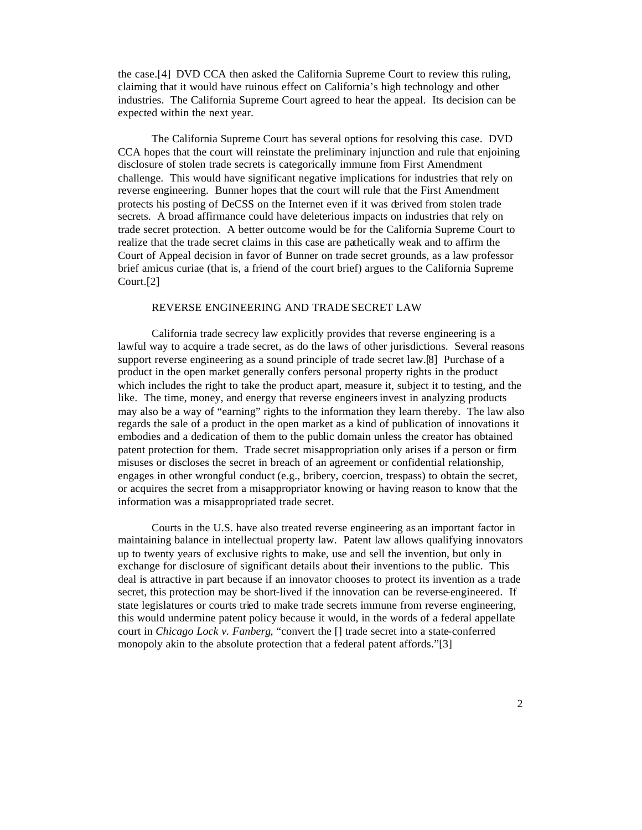the case.[4] DVD CCA then asked the California Supreme Court to review this ruling, claiming that it would have ruinous effect on California's high technology and other industries. The California Supreme Court agreed to hear the appeal. Its decision can be expected within the next year.

The California Supreme Court has several options for resolving this case. DVD CCA hopes that the court will reinstate the preliminary injunction and rule that enjoining disclosure of stolen trade secrets is categorically immune from First Amendment challenge. This would have significant negative implications for industries that rely on reverse engineering. Bunner hopes that the court will rule that the First Amendment protects his posting of DeCSS on the Internet even if it was derived from stolen trade secrets. A broad affirmance could have deleterious impacts on industries that rely on trade secret protection. A better outcome would be for the California Supreme Court to realize that the trade secret claims in this case are pathetically weak and to affirm the Court of Appeal decision in favor of Bunner on trade secret grounds, as a law professor brief amicus curiae (that is, a friend of the court brief) argues to the California Supreme Court.[2]

## REVERSE ENGINEERING AND TRADE SECRET LAW

California trade secrecy law explicitly provides that reverse engineering is a lawful way to acquire a trade secret, as do the laws of other jurisdictions. Several reasons support reverse engineering as a sound principle of trade secret law.[8] Purchase of a product in the open market generally confers personal property rights in the product which includes the right to take the product apart, measure it, subject it to testing, and the like. The time, money, and energy that reverse engineers invest in analyzing products may also be a way of "earning" rights to the information they learn thereby. The law also regards the sale of a product in the open market as a kind of publication of innovations it embodies and a dedication of them to the public domain unless the creator has obtained patent protection for them. Trade secret misappropriation only arises if a person or firm misuses or discloses the secret in breach of an agreement or confidential relationship, engages in other wrongful conduct (e.g., bribery, coercion, trespass) to obtain the secret, or acquires the secret from a misappropriator knowing or having reason to know that the information was a misappropriated trade secret.

Courts in the U.S. have also treated reverse engineering as an important factor in maintaining balance in intellectual property law. Patent law allows qualifying innovators up to twenty years of exclusive rights to make, use and sell the invention, but only in exchange for disclosure of significant details about their inventions to the public. This deal is attractive in part because if an innovator chooses to protect its invention as a trade secret, this protection may be short-lived if the innovation can be reverse-engineered. If state legislatures or courts tried to make trade secrets immune from reverse engineering, this would undermine patent policy because it would, in the words of a federal appellate court in *Chicago Lock v. Fanberg*, "convert the [] trade secret into a state-conferred monopoly akin to the absolute protection that a federal patent affords."[3]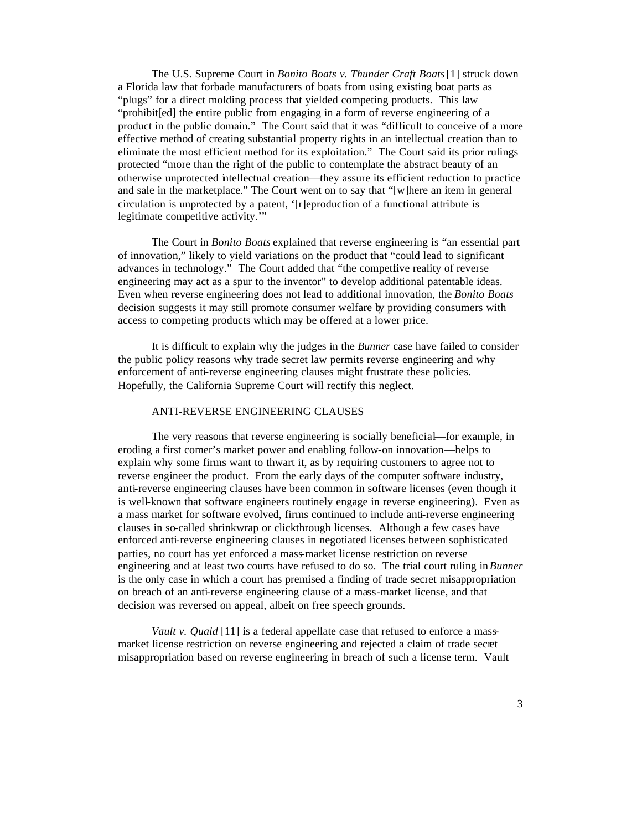The U.S. Supreme Court in *Bonito Boats v. Thunder Craft Boats* [1] struck down a Florida law that forbade manufacturers of boats from using existing boat parts as "plugs" for a direct molding process that yielded competing products. This law "prohibit[ed] the entire public from engaging in a form of reverse engineering of a product in the public domain." The Court said that it was "difficult to conceive of a more effective method of creating substantial property rights in an intellectual creation than to eliminate the most efficient method for its exploitation." The Court said its prior rulings protected "more than the right of the public to contemplate the abstract beauty of an otherwise unprotected intellectual creation—they assure its efficient reduction to practice and sale in the marketplace." The Court went on to say that "[w]here an item in general circulation is unprotected by a patent, '[r]eproduction of a functional attribute is legitimate competitive activity.'"

The Court in *Bonito Boats* explained that reverse engineering is "an essential part of innovation," likely to yield variations on the product that "could lead to significant advances in technology." The Court added that "the competitive reality of reverse engineering may act as a spur to the inventor" to develop additional patentable ideas. Even when reverse engineering does not lead to additional innovation, the *Bonito Boats* decision suggests it may still promote consumer welfare by providing consumers with access to competing products which may be offered at a lower price.

It is difficult to explain why the judges in the *Bunner* case have failed to consider the public policy reasons why trade secret law permits reverse engineering and why enforcement of anti-reverse engineering clauses might frustrate these policies. Hopefully, the California Supreme Court will rectify this neglect.

### ANTI-REVERSE ENGINEERING CLAUSES

The very reasons that reverse engineering is socially beneficial—for example, in eroding a first comer's market power and enabling follow-on innovation—helps to explain why some firms want to thwart it, as by requiring customers to agree not to reverse engineer the product. From the early days of the computer software industry, anti-reverse engineering clauses have been common in software licenses (even though it is well-known that software engineers routinely engage in reverse engineering). Even as a mass market for software evolved, firms continued to include anti-reverse engineering clauses in so-called shrinkwrap or clickthrough licenses. Although a few cases have enforced anti-reverse engineering clauses in negotiated licenses between sophisticated parties, no court has yet enforced a mass-market license restriction on reverse engineering and at least two courts have refused to do so. The trial court ruling in *Bunner* is the only case in which a court has premised a finding of trade secret misappropriation on breach of an anti-reverse engineering clause of a mass-market license, and that decision was reversed on appeal, albeit on free speech grounds.

*Vault v. Quaid* [11] is a federal appellate case that refused to enforce a massmarket license restriction on reverse engineering and rejected a claim of trade secret misappropriation based on reverse engineering in breach of such a license term. Vault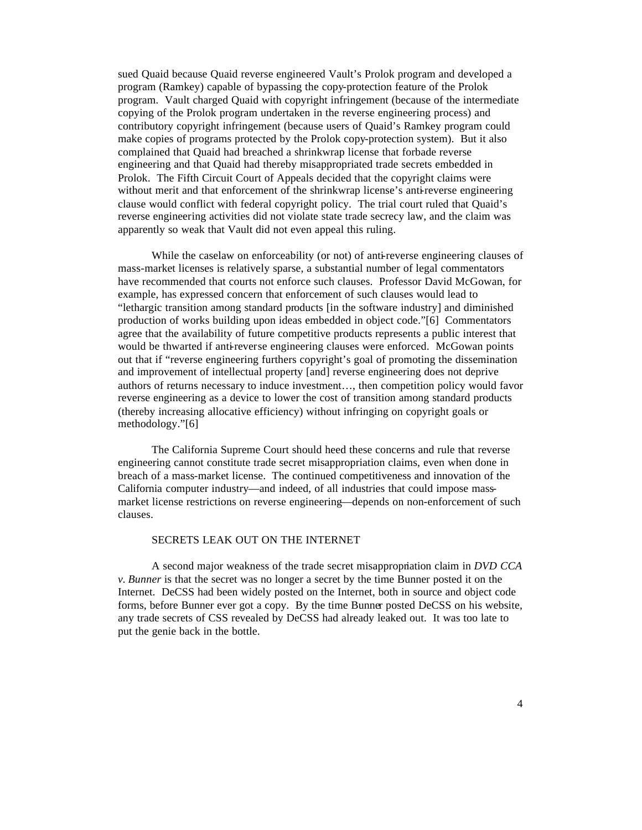sued Quaid because Quaid reverse engineered Vault's Prolok program and developed a program (Ramkey) capable of bypassing the copy-protection feature of the Prolok program. Vault charged Quaid with copyright infringement (because of the intermediate copying of the Prolok program undertaken in the reverse engineering process) and contributory copyright infringement (because users of Quaid's Ramkey program could make copies of programs protected by the Prolok copy-protection system). But it also complained that Quaid had breached a shrinkwrap license that forbade reverse engineering and that Quaid had thereby misappropriated trade secrets embedded in Prolok. The Fifth Circuit Court of Appeals decided that the copyright claims were without merit and that enforcement of the shrinkwrap license's anti-reverse engineering clause would conflict with federal copyright policy. The trial court ruled that Quaid's reverse engineering activities did not violate state trade secrecy law, and the claim was apparently so weak that Vault did not even appeal this ruling.

While the caselaw on enforceability (or not) of anti-reverse engineering clauses of mass-market licenses is relatively sparse, a substantial number of legal commentators have recommended that courts not enforce such clauses. Professor David McGowan, for example, has expressed concern that enforcement of such clauses would lead to "lethargic transition among standard products [in the software industry] and diminished production of works building upon ideas embedded in object code."[6] Commentators agree that the availability of future competitive products represents a public interest that would be thwarted if anti-reverse engineering clauses were enforced. McGowan points out that if "reverse engineering furthers copyright's goal of promoting the dissemination and improvement of intellectual property [and] reverse engineering does not deprive authors of returns necessary to induce investment…, then competition policy would favor reverse engineering as a device to lower the cost of transition among standard products (thereby increasing allocative efficiency) without infringing on copyright goals or methodology."[6]

The California Supreme Court should heed these concerns and rule that reverse engineering cannot constitute trade secret misappropriation claims, even when done in breach of a mass-market license. The continued competitiveness and innovation of the California computer industry—and indeed, of all industries that could impose massmarket license restrictions on reverse engineering—depends on non-enforcement of such clauses.

# SECRETS LEAK OUT ON THE INTERNET

A second major weakness of the trade secret misappropriation claim in *DVD CCA v. Bunner* is that the secret was no longer a secret by the time Bunner posted it on the Internet. DeCSS had been widely posted on the Internet, both in source and object code forms, before Bunner ever got a copy. By the time Bunner posted DeCSS on his website, any trade secrets of CSS revealed by DeCSS had already leaked out. It was too late to put the genie back in the bottle.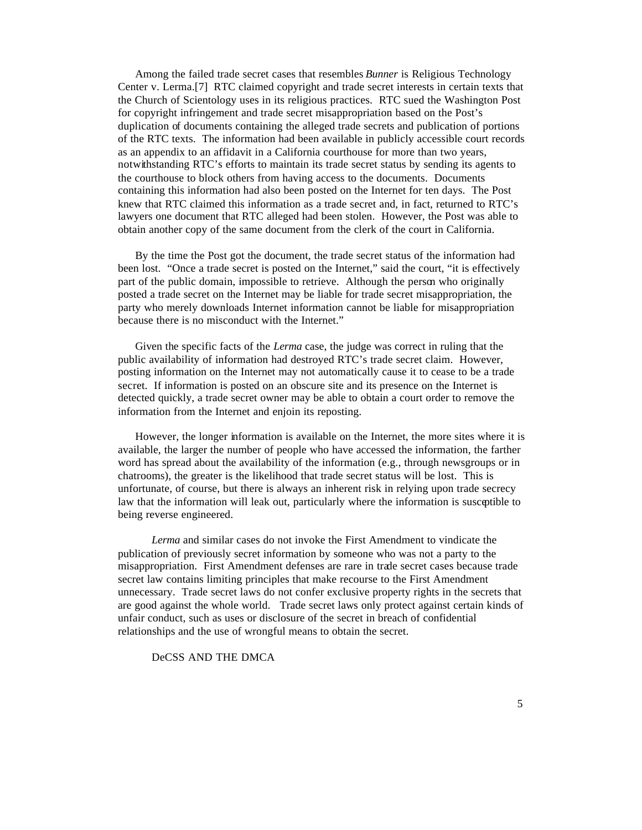Among the failed trade secret cases that resembles *Bunner* is Religious Technology Center v. Lerma.[7] RTC claimed copyright and trade secret interests in certain texts that the Church of Scientology uses in its religious practices. RTC sued the Washington Post for copyright infringement and trade secret misappropriation based on the Post's duplication of documents containing the alleged trade secrets and publication of portions of the RTC texts. The information had been available in publicly accessible court records as an appendix to an affidavit in a California courthouse for more than two years, notwithstanding RTC's efforts to maintain its trade secret status by sending its agents to the courthouse to block others from having access to the documents. Documents containing this information had also been posted on the Internet for ten days. The Post knew that RTC claimed this information as a trade secret and, in fact, returned to RTC's lawyers one document that RTC alleged had been stolen. However, the Post was able to obtain another copy of the same document from the clerk of the court in California.

By the time the Post got the document, the trade secret status of the information had been lost. "Once a trade secret is posted on the Internet," said the court, "it is effectively part of the public domain, impossible to retrieve. Although the person who originally posted a trade secret on the Internet may be liable for trade secret misappropriation, the party who merely downloads Internet information cannot be liable for misappropriation because there is no misconduct with the Internet."

Given the specific facts of the *Lerma* case, the judge was correct in ruling that the public availability of information had destroyed RTC's trade secret claim. However, posting information on the Internet may not automatically cause it to cease to be a trade secret. If information is posted on an obscure site and its presence on the Internet is detected quickly, a trade secret owner may be able to obtain a court order to remove the information from the Internet and enjoin its reposting.

However, the longer information is available on the Internet, the more sites where it is available, the larger the number of people who have accessed the information, the farther word has spread about the availability of the information (e.g., through newsgroups or in chatrooms), the greater is the likelihood that trade secret status will be lost. This is unfortunate, of course, but there is always an inherent risk in relying upon trade secrecy law that the information will leak out, particularly where the information is susceptible to being reverse engineered.

*Lerma* and similar cases do not invoke the First Amendment to vindicate the publication of previously secret information by someone who was not a party to the misappropriation. First Amendment defenses are rare in trade secret cases because trade secret law contains limiting principles that make recourse to the First Amendment unnecessary. Trade secret laws do not confer exclusive property rights in the secrets that are good against the whole world. Trade secret laws only protect against certain kinds of unfair conduct, such as uses or disclosure of the secret in breach of confidential relationships and the use of wrongful means to obtain the secret.

# DeCSS AND THE DMCA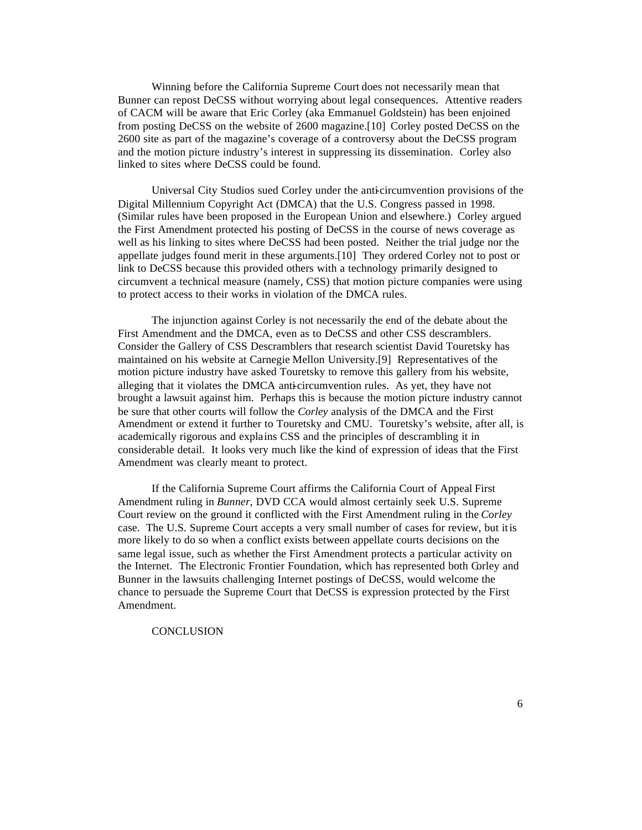Winning before the California Supreme Court does not necessarily mean that Bunner can repost DeCSS without worrying about legal consequences. Attentive readers of CACM will be aware that Eric Corley (aka Emmanuel Goldstein) has been enjoined from posting DeCSS on the website of 2600 magazine.[10] Corley posted DeCSS on the 2600 site as part of the magazine's coverage of a controversy about the DeCSS program and the motion picture industry's interest in suppressing its dissemination. Corley also linked to sites where DeCSS could be found.

Universal City Studios sued Corley under the anti-circumvention provisions of the Digital Millennium Copyright Act (DMCA) that the U.S. Congress passed in 1998. (Similar rules have been proposed in the European Union and elsewhere.) Corley argued the First Amendment protected his posting of DeCSS in the course of news coverage as well as his linking to sites where DeCSS had been posted. Neither the trial judge nor the appellate judges found merit in these arguments.[10] They ordered Corley not to post or link to DeCSS because this provided others with a technology primarily designed to circumvent a technical measure (namely, CSS) that motion picture companies were using to protect access to their works in violation of the DMCA rules.

The injunction against Corley is not necessarily the end of the debate about the First Amendment and the DMCA, even as to DeCSS and other CSS descramblers. Consider the Gallery of CSS Descramblers that research scientist David Touretsky has maintained on his website at Carnegie Mellon University.[9] Representatives of the motion picture industry have asked Touretsky to remove this gallery from his website, alleging that it violates the DMCA anti-circumvention rules. As yet, they have not brought a lawsuit against him. Perhaps this is because the motion picture industry cannot be sure that other courts will follow the *Corley* analysis of the DMCA and the First Amendment or extend it further to Touretsky and CMU. Touretsky's website, after all, is academically rigorous and explains CSS and the principles of descrambling it in considerable detail. It looks very much like the kind of expression of ideas that the First Amendment was clearly meant to protect.

If the California Supreme Court affirms the California Court of Appeal First Amendment ruling in *Bunner*, DVD CCA would almost certainly seek U.S. Supreme Court review on the ground it conflicted with the First Amendment ruling in the *Corley* case. The U.S. Supreme Court accepts a very small number of cases for review, but it is more likely to do so when a conflict exists between appellate courts decisions on the same legal issue, such as whether the First Amendment protects a particular activity on the Internet. The Electronic Frontier Foundation, which has represented both Corley and Bunner in the lawsuits challenging Internet postings of DeCSS, would welcome the chance to persuade the Supreme Court that DeCSS is expression protected by the First Amendment.

### **CONCLUSION**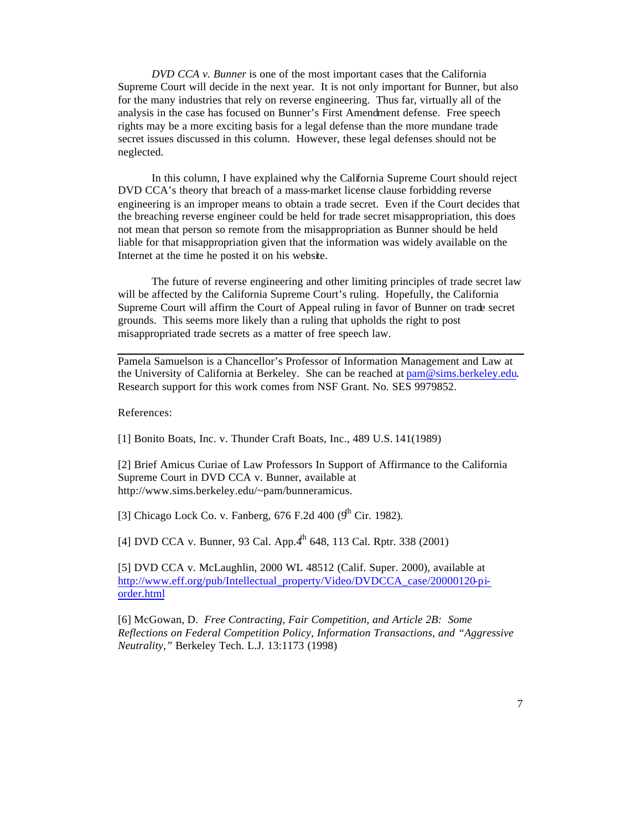*DVD CCA v. Bunner* is one of the most important cases that the California Supreme Court will decide in the next year. It is not only important for Bunner, but also for the many industries that rely on reverse engineering. Thus far, virtually all of the analysis in the case has focused on Bunner's First Amendment defense. Free speech rights may be a more exciting basis for a legal defense than the more mundane trade secret issues discussed in this column. However, these legal defenses should not be neglected.

In this column, I have explained why the California Supreme Court should reject DVD CCA's theory that breach of a mass-market license clause forbidding reverse engineering is an improper means to obtain a trade secret. Even if the Court decides that the breaching reverse engineer could be held for trade secret misappropriation, this does not mean that person so remote from the misappropriation as Bunner should be held liable for that misappropriation given that the information was widely available on the Internet at the time he posted it on his website.

The future of reverse engineering and other limiting principles of trade secret law will be affected by the California Supreme Court's ruling. Hopefully, the California Supreme Court will affirm the Court of Appeal ruling in favor of Bunner on trade secret grounds. This seems more likely than a ruling that upholds the right to post misappropriated trade secrets as a matter of free speech law.

Pamela Samuelson is a Chancellor's Professor of Information Management and Law at the University of California at Berkeley. She can be reached at pam@sims.berkeley.edu. Research support for this work comes from NSF Grant. No. SES 9979852.

References:

[1] Bonito Boats, Inc. v. Thunder Craft Boats, Inc., 489 U.S. 141(1989)

[2] Brief Amicus Curiae of Law Professors In Support of Affirmance to the California Supreme Court in DVD CCA v. Bunner, available at http://www.sims.berkeley.edu/~pam/bunneramicus.

[3] Chicago Lock Co. v. Fanberg,  $676$  F.2d  $400$  ( $9^{\text{h}}$  Cir. 1982).

[4] DVD CCA v. Bunner, 93 Cal. App.4<sup>th</sup> 648, 113 Cal. Rptr. 338 (2001)

[5] DVD CCA v. McLaughlin, 2000 WL 48512 (Calif. Super. 2000), available at http://www.eff.org/pub/Intellectual\_property/Video/DVDCCA\_case/20000120-piorder.html

[6] McGowan, D. *Free Contracting, Fair Competition, and Article 2B: Some Reflections on Federal Competition Policy, Information Transactions, and "Aggressive Neutrality,"* Berkeley Tech. L.J. 13:1173 (1998)